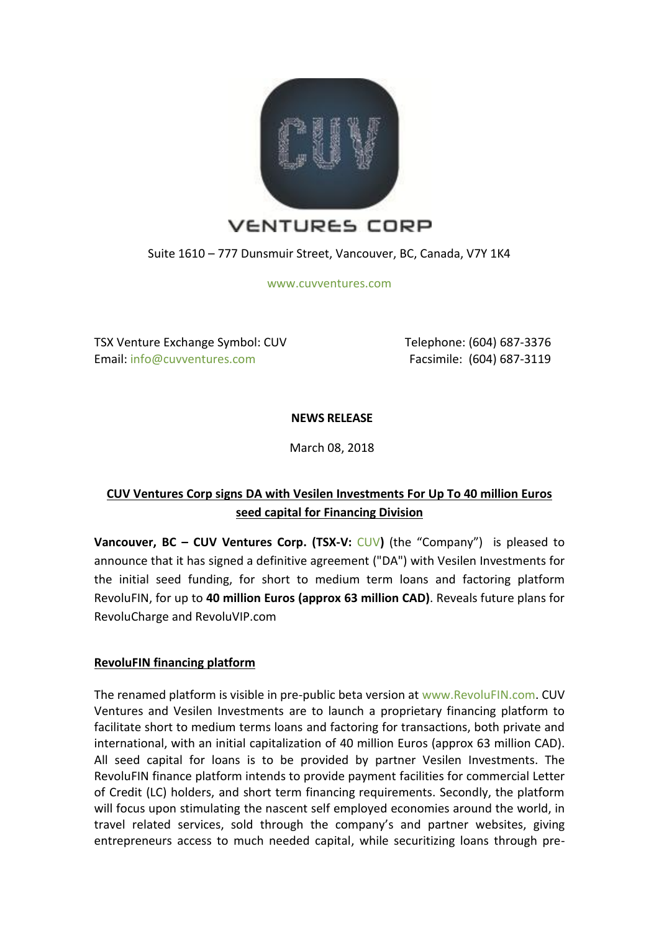

Suite 1610 – 777 Dunsmuir Street, Vancouver, BC, Canada, V7Y 1K4

[www.cuvventures.com](http://www.cuvventures.com/)

TSX Venture Exchange Symbol: CUV Email[: info@cuvventures.com](mailto:info@cuvventures.com)

 Telephone: (604) 687-3376 Facsimile: (604) 687-3119

**NEWS RELEASE**

March 08, 2018

# **CUV Ventures Corp signs DA with Vesilen Investments For Up To 40 million Euros seed capital for Financing Division**

**Vancouver, BC – CUV Ventures Corp. (TSX-V:** [CUV](http://web.tmxmoney.com/quote.php?qm_symbol=CUV)**)** (the "Company") is pleased to announce that it has signed a definitive agreement ("DA") with Vesilen Investments for the initial seed funding, for short to medium term loans and factoring platform RevoluFIN, for up to **40 million Euros (approx 63 million CAD)**. Reveals future plans for RevoluCharge and RevoluVIP.com

# **RevoluFIN financing platform**

The renamed platform is visible in pre-public beta version at [www.RevoluFIN.com.](http://www.revolufin.com/) CUV Ventures and Vesilen Investments are to launch a proprietary financing platform to facilitate short to medium terms loans and factoring for transactions, both private and international, with an initial capitalization of 40 million Euros (approx 63 million CAD). All seed capital for loans is to be provided by partner Vesilen Investments. The RevoluFIN finance platform intends to provide payment facilities for commercial Letter of Credit (LC) holders, and short term financing requirements. Secondly, the platform will focus upon stimulating the nascent self employed economies around the world, in travel related services, sold through the company's and partner websites, giving entrepreneurs access to much needed capital, while securitizing loans through pre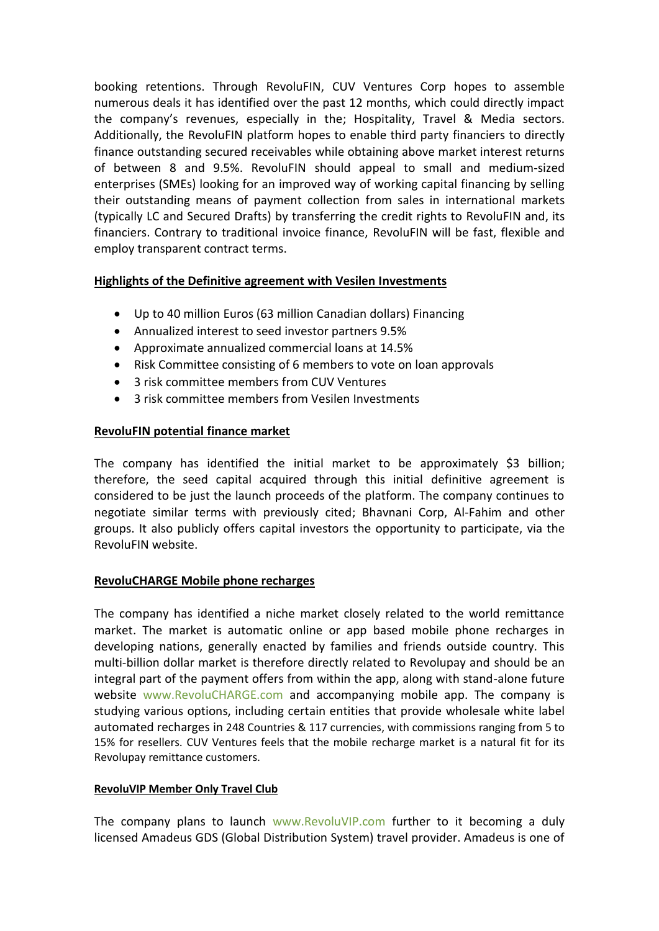booking retentions. Through RevoluFIN, CUV Ventures Corp hopes to assemble numerous deals it has identified over the past 12 months, which could directly impact the company's revenues, especially in the; Hospitality, Travel & Media sectors. Additionally, the RevoluFIN platform hopes to enable third party financiers to directly finance outstanding secured receivables while obtaining above market interest returns of between 8 and 9.5%. RevoluFIN should appeal to small and medium-sized enterprises (SMEs) looking for an improved way of working capital financing by selling their outstanding means of payment collection from sales in international markets (typically LC and Secured Drafts) by transferring the credit rights to RevoluFIN and, its financiers. Contrary to traditional invoice finance, RevoluFIN will be fast, flexible and employ transparent contract terms.

# **Highlights of the Definitive agreement with Vesilen Investments**

- Up to 40 million Euros (63 million Canadian dollars) Financing
- Annualized interest to seed investor partners 9.5%
- Approximate annualized commercial loans at 14.5%
- Risk Committee consisting of 6 members to vote on loan approvals
- 3 risk committee members from CUV Ventures
- 3 risk committee members from Vesilen Investments

## **RevoluFIN potential finance market**

The company has identified the initial market to be approximately \$3 billion; therefore, the seed capital acquired through this initial definitive agreement is considered to be just the launch proceeds of the platform. The company continues to negotiate similar terms with previously cited; Bhavnani Corp, Al-Fahim and other groups. It also publicly offers capital investors the opportunity to participate, via the RevoluFIN website.

#### **RevoluCHARGE Mobile phone recharges**

The company has identified a niche market closely related to the world remittance market. The market is automatic online or app based mobile phone recharges in developing nations, generally enacted by families and friends outside country. This multi-billion dollar market is therefore directly related to Revolupay and should be an integral part of the payment offers from within the app, along with stand-alone future website [www.RevoluCHARGE.com](http://www.revolucharge.com/) and accompanying mobile app. The company is studying various options, including certain entities that provide wholesale white label automated recharges in 248 Countries & 117 currencies, with commissions ranging from 5 to 15% for resellers. CUV Ventures feels that the mobile recharge market is a natural fit for its Revolupay remittance customers.

#### **RevoluVIP Member Only Travel Club**

The company plans to launch [www.RevoluVIP.com](http://www.revoluvip.com/) further to it becoming a duly licensed Amadeus GDS (Global Distribution System) travel provider. Amadeus is one of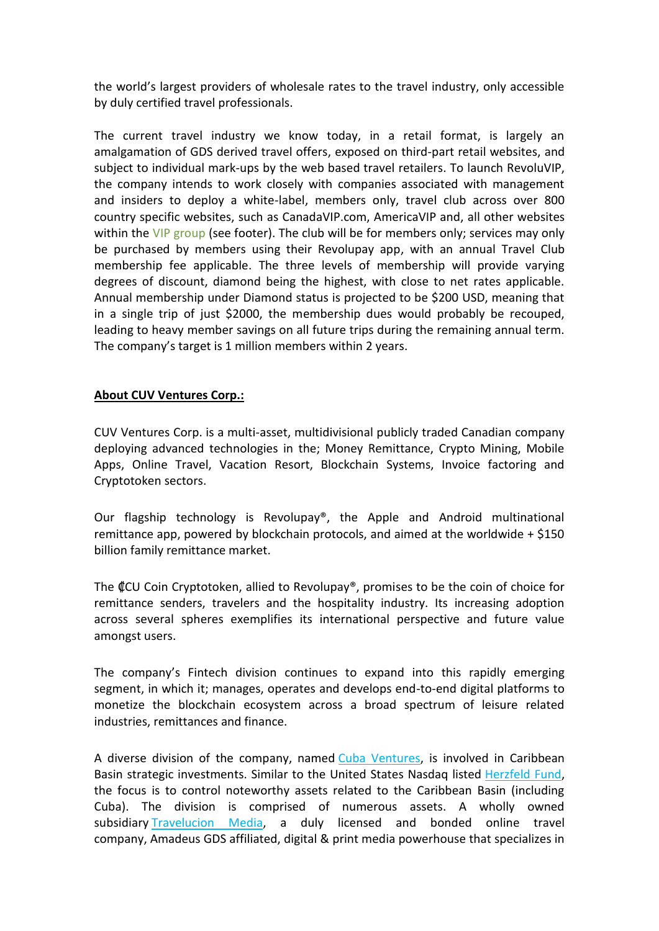the world's largest providers of wholesale rates to the travel industry, only accessible by duly certified travel professionals.

The current travel industry we know today, in a retail format, is largely an amalgamation of GDS derived travel offers, exposed on third-part retail websites, and subject to individual mark-ups by the web based travel retailers. To launch RevoluVIP, the company intends to work closely with companies associated with management and insiders to deploy a white-label, members only, travel club across over 800 country specific websites, such as CanadaVIP.com, AmericaVIP and, all other websites within the [VIP group](http://hotels.americavip.com/Place/United_States.htm) (see footer). The club will be for members only; services may only be purchased by members using their Revolupay app, with an annual Travel Club membership fee applicable. The three levels of membership will provide varying degrees of discount, diamond being the highest, with close to net rates applicable. Annual membership under Diamond status is projected to be \$200 USD, meaning that in a single trip of just \$2000, the membership dues would probably be recouped, leading to heavy member savings on all future trips during the remaining annual term. The company's target is 1 million members within 2 years.

# **About CUV Ventures Corp.:**

CUV Ventures Corp. is a multi-asset, multidivisional publicly traded Canadian company deploying advanced technologies in the; Money Remittance, Crypto Mining, Mobile Apps, Online Travel, Vacation Resort, Blockchain Systems, Invoice factoring and Cryptotoken sectors.

Our flagship technology is Revolupay<sup>®</sup>, the Apple and Android multinational remittance app, powered by blockchain protocols, and aimed at the worldwide  $+$  \$150 billion family remittance market.

The CU Coin Cryptotoken, allied to Revolupay®, promises to be the coin of choice for remittance senders, travelers and the hospitality industry. Its increasing adoption across several spheres exemplifies its international perspective and future value amongst users.

The company's Fintech division continues to expand into this rapidly emerging segment, in which it; manages, operates and develops end-to-end digital platforms to monetize the blockchain ecosystem across a broad spectrum of leisure related industries, remittances and finance.

A diverse division of the company, named [Cuba Ventures,](http://www.cubaventures.com/) is involved in Caribbean Basin strategic investments. Similar to the United States Nasdaq listed [Herzfeld Fund,](https://www.herzfeld.com/cuba) the focus is to control noteworthy assets related to the Caribbean Basin (including Cuba). The division is comprised of numerous assets. A wholly owned subsidiary [Travelucion Media,](http://www.travelucion.com/) a duly licensed and bonded online travel company, [Amadeus GDS](http://www.amadeus.com/) affiliated, digital & print media powerhouse that specializes in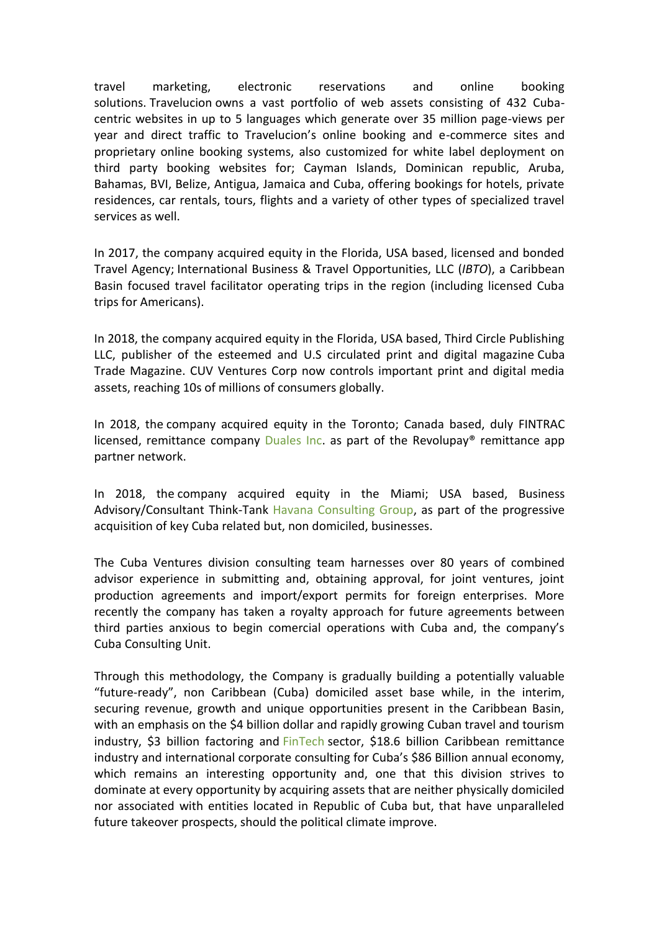travel marketing, electronic reservations and online booking solutions. [Travelucion](http://www.travelucion.com/) owns a vast portfolio of web assets consisting of 432 Cubacentric websites in up to 5 languages which generate over 35 million page-views per year and direct traffic to Travelucion's online booking and e-commerce sites and proprietary online booking systems, also customized for white label deployment on third party booking websites for; Cayman Islands, Dominican republic, Aruba, Bahamas, BVI, Belize, Antigua, Jamaica and Cuba, offering bookings for hotels, private residences, car rentals, tours, flights and a variety of other types of specialized travel services as well.

In 2017, the company acquired equity in the Florida, USA based, licensed and bonded Travel Agency; International Business & Travel Opportunities, LLC (*IBTO*), a Caribbean Basin focused travel facilitator operating trips in the region (including licensed Cuba trips for Americans).

In 2018, the company acquired equity in the Florida, USA based, Third Circle Publishing LLC, publisher of the esteemed and U.S circulated print and digital magazine [Cuba](http://www.cubatrademagazine.com/)  [Trade Magazine.](http://www.cubatrademagazine.com/) CUV Ventures Corp now controls important print and digital media assets, reaching 10s of millions of consumers globally.

In 2018, the company acquired equity in the Toronto; Canada based, duly FINTRAC licensed, remittance company [Duales Inc.](http://www.duales.com/) as part of the Revolupay<sup>®</sup> remittance app partner network.

In 2018, the company acquired equity in the Miami; USA based, Business Advisory/Consultant Think-Tank Havana [Consulting Group,](http://www.thehavanaconsultinggroup.com/) as part of the progressive acquisition of key Cuba related but, non domiciled, businesses.

The Cuba Ventures division consulting team harnesses over 80 years of combined advisor experience in submitting and, obtaining approval, for joint ventures, joint production agreements and import/export permits for foreign enterprises. More recently the company has taken a royalty approach for future agreements between third parties anxious to begin comercial operations with Cuba and, the company's Cuba Consulting Unit.

Through this methodology, the Company is gradually building a potentially valuable "future-ready", non Caribbean (Cuba) domiciled asset base while, in the interim, securing revenue, growth and unique opportunities present in the Caribbean Basin, with an emphasis on the \$4 billion dollar and rapidly growing Cuban travel and tourism industry, \$3 billion factoring and [FinTech](http://www.revolufin.com/) sector, \$18.6 billion Caribbean remittance industry and international corporate consulting for Cuba's \$86 Billion annual economy, which remains an interesting opportunity and, one that this division strives to dominate at every opportunity by acquiring assets that are neither physically domiciled nor associated with entities located in Republic of Cuba but, that have unparalleled future takeover prospects, should the political climate improve.